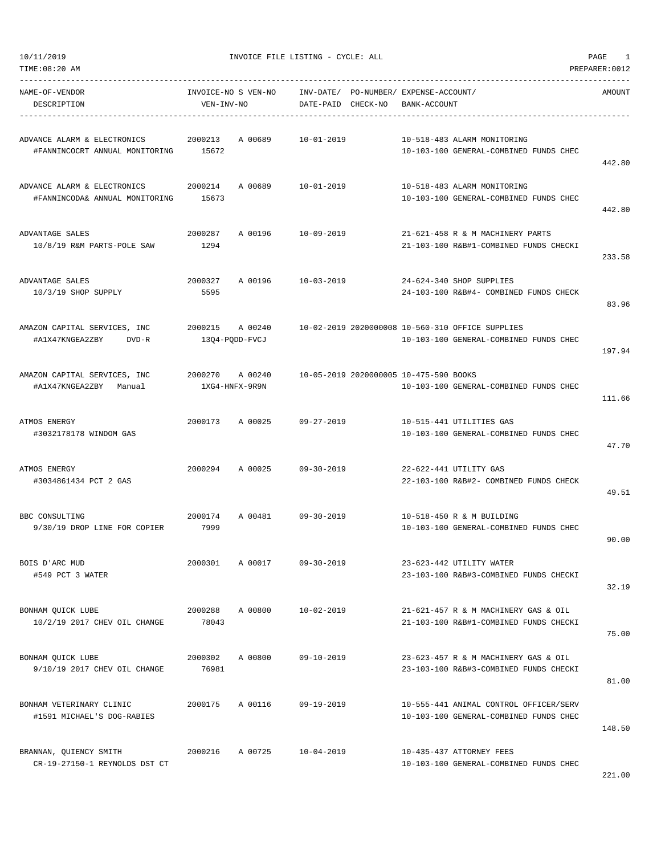| 0/11/2019 |
|-----------|

| NAME-OF-VENDOR<br>DESCRIPTION                                 | VEN-INV-NO       | INVOICE-NO S VEN-NO       | DATE-PAID CHECK-NO | INV-DATE/ PO-NUMBER/ EXPENSE-ACCOUNT/<br>BANK-ACCOUNT                                      | AMOUNT |
|---------------------------------------------------------------|------------------|---------------------------|--------------------|--------------------------------------------------------------------------------------------|--------|
| ADVANCE ALARM & ELECTRONICS<br>#FANNINCOCRT ANNUAL MONITORING | 2000213<br>15672 | A 00689                   | 10-01-2019         | 10-518-483 ALARM MONITORING<br>10-103-100 GENERAL-COMBINED FUNDS CHEC                      | 442.80 |
| ADVANCE ALARM & ELECTRONICS<br>#FANNINCODA& ANNUAL MONITORING | 2000214<br>15673 | A 00689                   | $10 - 01 - 2019$   | 10-518-483 ALARM MONITORING<br>10-103-100 GENERAL-COMBINED FUNDS CHEC                      | 442.80 |
| ADVANTAGE SALES<br>10/8/19 R&M PARTS-POLE SAW                 | 2000287<br>1294  |                           | A 00196 10-09-2019 | 21-621-458 R & M MACHINERY PARTS<br>21-103-100 R&B#1-COMBINED FUNDS CHECKI                 | 233.58 |
| ADVANTAGE SALES<br>$10/3/19$ SHOP SUPPLY                      | 2000327<br>5595  | A 00196                   | 10-03-2019         | 24-624-340 SHOP SUPPLIES<br>24-103-100 R&B#4- COMBINED FUNDS CHECK                         | 83.96  |
| AMAZON CAPITAL SERVICES, INC<br>#A1X47KNGEA2ZBY<br>DVD-R      | 2000215 A 00240  | 13Q4-PQDD-FVCJ            |                    | 10-02-2019 2020000008 10-560-310 OFFICE SUPPLIES<br>10-103-100 GENERAL-COMBINED FUNDS CHEC | 197.94 |
| AMAZON CAPITAL SERVICES, INC<br>#A1X47KNGEA2ZBY Manual        | 2000270          | A 00240<br>1XG4-HNFX-9R9N |                    | 10-05-2019 2020000005 10-475-590 BOOKS<br>10-103-100 GENERAL-COMBINED FUNDS CHEC           | 111.66 |
| ATMOS ENERGY<br>#3032178178 WINDOM GAS                        | 2000173 A 00025  |                           | 09-27-2019         | 10-515-441 UTILITIES GAS<br>10-103-100 GENERAL-COMBINED FUNDS CHEC                         | 47.70  |
| ATMOS ENERGY<br>#3034861434 PCT 2 GAS                         | 2000294          | A 00025                   | $09 - 30 - 2019$   | 22-622-441 UTILITY GAS<br>22-103-100 R&B#2- COMBINED FUNDS CHECK                           | 49.51  |
| BBC CONSULTING<br>9/30/19 DROP LINE FOR COPIER                | 2000174<br>7999  |                           | A 00481 09-30-2019 | 10-518-450 R & M BUILDING<br>10-103-100 GENERAL-COMBINED FUNDS CHEC                        | 90.00  |
| BOIS D'ARC MUD<br>#549 PCT 3 WATER                            | 2000301          | A 00017                   | $09 - 30 - 2019$   | 23-623-442 UTILITY WATER<br>23-103-100 R&B#3-COMBINED FUNDS CHECKI                         | 32.19  |
| BONHAM OUICK LUBE<br>10/2/19 2017 CHEV OIL CHANGE             | 2000288<br>78043 | A 00800                   | $10 - 02 - 2019$   | 21-621-457 R & M MACHINERY GAS & OIL<br>21-103-100 R&B#1-COMBINED FUNDS CHECKI             | 75.00  |
| BONHAM OUICK LUBE<br>9/10/19 2017 CHEV OIL CHANGE             | 2000302<br>76981 | A 00800                   | $09 - 10 - 2019$   | 23-623-457 R & M MACHINERY GAS & OIL<br>23-103-100 R&B#3-COMBINED FUNDS CHECKI             | 81.00  |
| BONHAM VETERINARY CLINIC<br>#1591 MICHAEL'S DOG-RABIES        | 2000175          | A 00116                   | $09 - 19 - 2019$   | 10-555-441 ANIMAL CONTROL OFFICER/SERV<br>10-103-100 GENERAL-COMBINED FUNDS CHEC           | 148.50 |
| BRANNAN, QUIENCY SMITH<br>CR-19-27150-1 REYNOLDS DST CT       | 2000216          | A 00725                   | $10 - 04 - 2019$   | 10-435-437 ATTORNEY FEES<br>10-103-100 GENERAL-COMBINED FUNDS CHEC                         |        |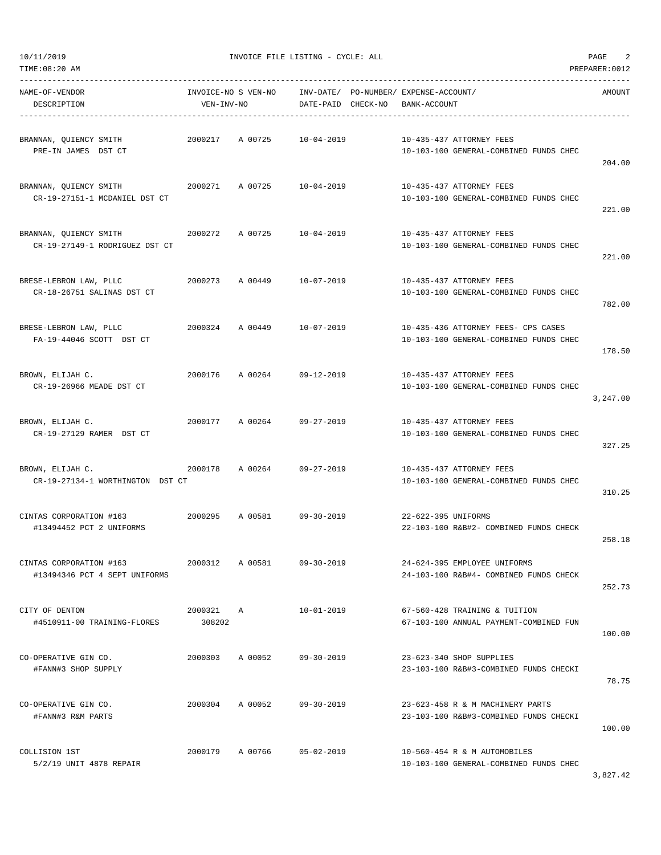| TIME:08:20 AM                                            |                                   |                            |                    |                                                       |                                                                               | PREPARER: 0012 |
|----------------------------------------------------------|-----------------------------------|----------------------------|--------------------|-------------------------------------------------------|-------------------------------------------------------------------------------|----------------|
| NAME-OF-VENDOR<br>DESCRIPTION                            | INVOICE-NO S VEN-NO<br>VEN-INV-NO |                            | DATE-PAID CHECK-NO | INV-DATE/ PO-NUMBER/ EXPENSE-ACCOUNT/<br>BANK-ACCOUNT |                                                                               | AMOUNT         |
| BRANNAN, QUIENCY SMITH<br>PRE-IN JAMES DST CT            | 2000217                           | A 00725 10-04-2019         |                    |                                                       | 10-435-437 ATTORNEY FEES<br>10-103-100 GENERAL-COMBINED FUNDS CHEC            | 204.00         |
| BRANNAN, QUIENCY SMITH<br>CR-19-27151-1 MCDANIEL DST CT  | 2000271                           | A 00725                    | $10 - 04 - 2019$   |                                                       | 10-435-437 ATTORNEY FEES<br>10-103-100 GENERAL-COMBINED FUNDS CHEC            | 221.00         |
| BRANNAN, QUIENCY SMITH<br>CR-19-27149-1 RODRIGUEZ DST CT | 2000272                           | A 00725                    | 10-04-2019         |                                                       | 10-435-437 ATTORNEY FEES<br>10-103-100 GENERAL-COMBINED FUNDS CHEC            | 221.00         |
| BRESE-LEBRON LAW, PLLC<br>CR-18-26751 SALINAS DST CT     |                                   | 2000273 A 00449 10-07-2019 |                    |                                                       | 10-435-437 ATTORNEY FEES<br>10-103-100 GENERAL-COMBINED FUNDS CHEC            | 782.00         |
| BRESE-LEBRON LAW, PLLC<br>FA-19-44046 SCOTT DST CT       | 2000324                           |                            | A 00449 10-07-2019 |                                                       | 10-435-436 ATTORNEY FEES- CPS CASES<br>10-103-100 GENERAL-COMBINED FUNDS CHEC | 178.50         |
| BROWN, ELIJAH C.<br>CR-19-26966 MEADE DST CT             | 2000176                           | A 00264                    | 09-12-2019         |                                                       | 10-435-437 ATTORNEY FEES<br>10-103-100 GENERAL-COMBINED FUNDS CHEC            | 3,247.00       |
| BROWN, ELIJAH C.<br>CR-19-27129 RAMER DST CT             |                                   | 2000177 A 00264            | 09-27-2019         |                                                       | 10-435-437 ATTORNEY FEES<br>10-103-100 GENERAL-COMBINED FUNDS CHEC            | 327.25         |
| BROWN, ELIJAH C.<br>CR-19-27134-1 WORTHINGTON DST CT     | 2000178                           | A 00264 09-27-2019         |                    |                                                       | 10-435-437 ATTORNEY FEES<br>10-103-100 GENERAL-COMBINED FUNDS CHEC            | 310.25         |
| CINTAS CORPORATION #163<br>#13494452 PCT 2 UNIFORMS      | 2000295                           | A 00581 09-30-2019         |                    | 22-622-395 UNIFORMS                                   | 22-103-100 R&B#2- COMBINED FUNDS CHECK                                        | 258.18         |
| CINTAS CORPORATION #163<br>#13494346 PCT 4 SEPT UNIFORMS | 2000312                           | A 00581                    | $09 - 30 - 2019$   |                                                       | 24-624-395 EMPLOYEE UNIFORMS<br>24-103-100 R&B#4- COMBINED FUNDS CHECK        | 252.73         |
| CITY OF DENTON<br>#4510911-00 TRAINING-FLORES            | 2000321<br>308202                 | Α                          | $10 - 01 - 2019$   |                                                       | 67-560-428 TRAINING & TUITION<br>67-103-100 ANNUAL PAYMENT-COMBINED FUN       | 100.00         |
| CO-OPERATIVE GIN CO.<br>#FANN#3 SHOP SUPPLY              | 2000303                           | A 00052                    | $09 - 30 - 2019$   |                                                       | 23-623-340 SHOP SUPPLIES<br>23-103-100 R&B#3-COMBINED FUNDS CHECKI            | 78.75          |
| CO-OPERATIVE GIN CO.<br>#FANN#3 R&M PARTS                | 2000304                           | A 00052                    | $09 - 30 - 2019$   |                                                       | 23-623-458 R & M MACHINERY PARTS<br>23-103-100 R&B#3-COMBINED FUNDS CHECKI    | 100.00         |
| COLLISION 1ST<br>5/2/19 UNIT 4878 REPAIR                 | 2000179                           | A 00766                    | $05 - 02 - 2019$   |                                                       | 10-560-454 R & M AUTOMOBILES<br>10-103-100 GENERAL-COMBINED FUNDS CHEC        |                |

3,827.42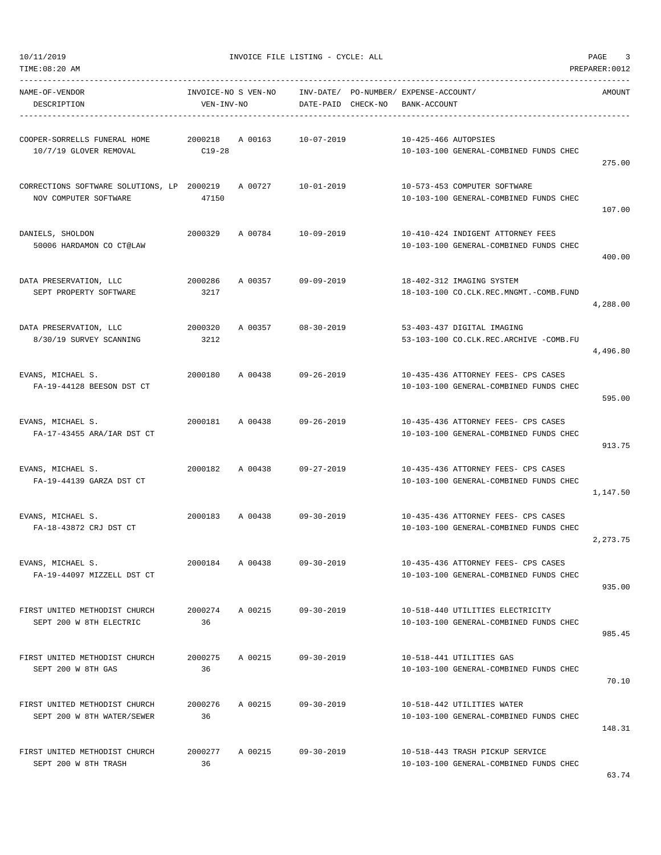| NAME-OF-VENDOR                                             |            |                 | INVOICE-NO S VEN-NO      INV-DATE/ PO-NUMBER/ EXPENSE-ACCOUNT/ |                      |                                                                        | AMOUNT   |
|------------------------------------------------------------|------------|-----------------|----------------------------------------------------------------|----------------------|------------------------------------------------------------------------|----------|
| DESCRIPTION                                                | VEN-INV-NO |                 | DATE-PAID CHECK-NO                                             | BANK-ACCOUNT         |                                                                        |          |
|                                                            |            |                 |                                                                |                      |                                                                        |          |
| COOPER-SORRELLS FUNERAL HOME  2000218  A 00163  10-07-2019 |            |                 |                                                                | 10-425-466 AUTOPSIES |                                                                        |          |
| 10/7/19 GLOVER REMOVAL                                     | $C19-28$   |                 |                                                                |                      | 10-103-100 GENERAL-COMBINED FUNDS CHEC                                 | 275.00   |
| CORRECTIONS SOFTWARE SOLUTIONS, LP 2000219 A 00727         |            |                 | 10-01-2019                                                     |                      |                                                                        |          |
| NOV COMPUTER SOFTWARE                                      | 47150      |                 |                                                                |                      | 10-573-453 COMPUTER SOFTWARE<br>10-103-100 GENERAL-COMBINED FUNDS CHEC |          |
|                                                            |            |                 |                                                                |                      |                                                                        | 107.00   |
| DANIELS, SHOLDON                                           | 2000329    |                 | A 00784 10-09-2019                                             |                      | 10-410-424 INDIGENT ATTORNEY FEES                                      |          |
| 50006 HARDAMON CO CT@LAW                                   |            |                 |                                                                |                      | 10-103-100 GENERAL-COMBINED FUNDS CHEC                                 |          |
|                                                            |            |                 |                                                                |                      |                                                                        | 400.00   |
| DATA PRESERVATION, LLC                                     | 2000286    |                 | A 00357 09-09-2019                                             |                      | 18-402-312 IMAGING SYSTEM                                              |          |
| SEPT PROPERTY SOFTWARE                                     | 3217       |                 |                                                                |                      | 18-103-100 CO.CLK.REC.MNGMT.-COMB.FUND                                 |          |
|                                                            |            |                 |                                                                |                      |                                                                        | 4,288.00 |
| DATA PRESERVATION, LLC                                     | 2000320    |                 | A 00357 08-30-2019                                             |                      | 53-403-437 DIGITAL IMAGING                                             |          |
| 8/30/19 SURVEY SCANNING                                    | 3212       |                 |                                                                |                      | 53-103-100 CO.CLK.REC.ARCHIVE -COMB.FU                                 |          |
|                                                            |            |                 |                                                                |                      |                                                                        | 4,496.80 |
| EVANS, MICHAEL S.                                          |            | 2000180 A 00438 | 09-26-2019                                                     |                      | 10-435-436 ATTORNEY FEES- CPS CASES                                    |          |
| FA-19-44128 BEESON DST CT                                  |            |                 |                                                                |                      | 10-103-100 GENERAL-COMBINED FUNDS CHEC                                 |          |
|                                                            |            |                 |                                                                |                      |                                                                        | 595.00   |
| EVANS, MICHAEL S.                                          |            |                 | 2000181 A 00438 09-26-2019                                     |                      | 10-435-436 ATTORNEY FEES- CPS CASES                                    |          |
| FA-17-43455 ARA/IAR DST CT                                 |            |                 |                                                                |                      | 10-103-100 GENERAL-COMBINED FUNDS CHEC                                 |          |
|                                                            |            |                 |                                                                |                      |                                                                        | 913.75   |
| EVANS, MICHAEL S.                                          | 2000182    |                 | A 00438 09-27-2019                                             |                      | 10-435-436 ATTORNEY FEES- CPS CASES                                    |          |
| FA-19-44139 GARZA DST CT                                   |            |                 |                                                                |                      | 10-103-100 GENERAL-COMBINED FUNDS CHEC                                 |          |
|                                                            |            |                 |                                                                |                      |                                                                        | 1,147.50 |
| EVANS, MICHAEL S.                                          |            |                 | 2000183 A 00438 09-30-2019                                     |                      | 10-435-436 ATTORNEY FEES- CPS CASES                                    |          |
| FA-18-43872 CRJ DST CT                                     |            |                 |                                                                |                      | 10-103-100 GENERAL-COMBINED FUNDS CHEC                                 |          |
|                                                            |            |                 |                                                                |                      |                                                                        | 2,273.75 |
| EVANS, MICHAEL S.                                          | 2000184    | A 00438         | $09 - 30 - 2019$                                               |                      | 10-435-436 ATTORNEY FEES- CPS CASES                                    |          |
| FA-19-44097 MIZZELL DST CT                                 |            |                 |                                                                |                      | 10-103-100 GENERAL-COMBINED FUNDS CHEC                                 |          |
|                                                            |            |                 |                                                                |                      |                                                                        | 935.00   |
| FIRST UNITED METHODIST CHURCH                              | 2000274    |                 | A 00215 09-30-2019                                             |                      | 10-518-440 UTILITIES ELECTRICITY                                       |          |
| SEPT 200 W 8TH ELECTRIC                                    | 36         |                 |                                                                |                      | 10-103-100 GENERAL-COMBINED FUNDS CHEC                                 |          |
|                                                            |            |                 |                                                                |                      |                                                                        | 985.45   |
| FIRST UNITED METHODIST CHURCH                              | 2000275    | A 00215         | $09 - 30 - 2019$                                               |                      | 10-518-441 UTILITIES GAS                                               |          |
| SEPT 200 W 8TH GAS                                         | 36         |                 |                                                                |                      | 10-103-100 GENERAL-COMBINED FUNDS CHEC                                 |          |
|                                                            |            |                 |                                                                |                      |                                                                        | 70.10    |
| FIRST UNITED METHODIST CHURCH                              | 2000276    | A 00215         | $09 - 30 - 2019$                                               |                      | 10-518-442 UTILITIES WATER                                             |          |
| SEPT 200 W 8TH WATER/SEWER                                 | 36         |                 |                                                                |                      | 10-103-100 GENERAL-COMBINED FUNDS CHEC                                 |          |
|                                                            |            |                 |                                                                |                      |                                                                        | 148.31   |
| FIRST UNITED METHODIST CHURCH                              | 2000277    |                 | A 00215 09-30-2019                                             |                      | 10-518-443 TRASH PICKUP SERVICE                                        |          |
| SEPT 200 W 8TH TRASH                                       | 36         |                 |                                                                |                      | 10-103-100 GENERAL-COMBINED FUNDS CHEC                                 |          |
|                                                            |            |                 |                                                                |                      |                                                                        |          |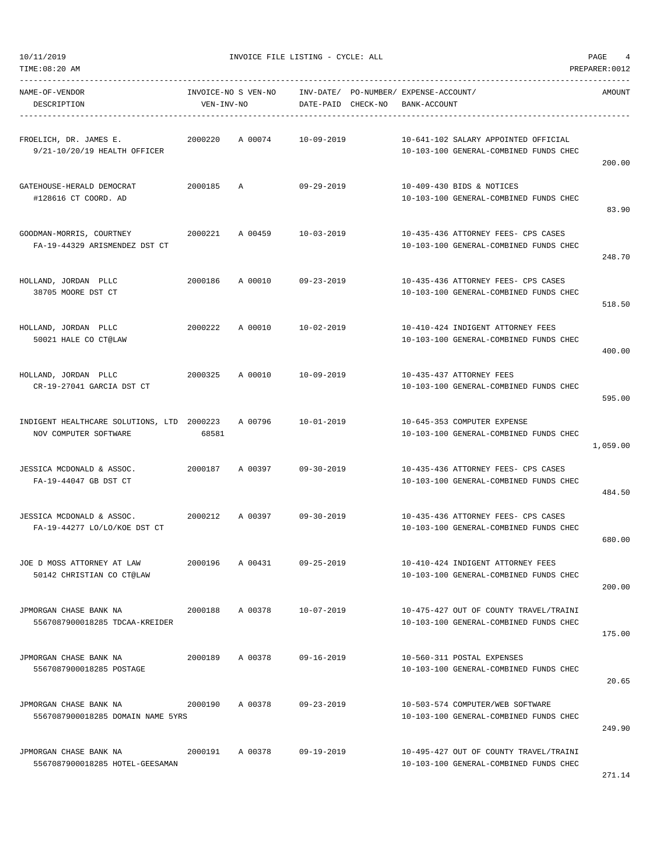TIME:08:20 AM PREPARER:0012

10/11/2019 INVOICE FILE LISTING - CYCLE: ALL PAGE 4

| NAME-OF-VENDOR<br>DESCRIPTION                                       | INVOICE-NO S VEN-NO<br>VEN-INV-NO |         | INV-DATE/ PO-NUMBER/ EXPENSE-ACCOUNT/<br>DATE-PAID CHECK-NO |  | BANK-ACCOUNT                                                                     | AMOUNT   |  |
|---------------------------------------------------------------------|-----------------------------------|---------|-------------------------------------------------------------|--|----------------------------------------------------------------------------------|----------|--|
| FROELICH, DR. JAMES E.<br>9/21-10/20/19 HEALTH OFFICER              | 2000220                           | A 00074 | $10 - 09 - 2019$                                            |  | 10-641-102 SALARY APPOINTED OFFICIAL<br>10-103-100 GENERAL-COMBINED FUNDS CHEC   | 200.00   |  |
| GATEHOUSE-HERALD DEMOCRAT<br>#128616 CT COORD. AD                   | 2000185                           | A       | 09-29-2019                                                  |  | 10-409-430 BIDS & NOTICES<br>10-103-100 GENERAL-COMBINED FUNDS CHEC              | 83.90    |  |
| GOODMAN-MORRIS, COURTNEY<br>FA-19-44329 ARISMENDEZ DST CT           | 2000221                           | A 00459 | 10-03-2019                                                  |  | 10-435-436 ATTORNEY FEES- CPS CASES<br>10-103-100 GENERAL-COMBINED FUNDS CHEC    | 248.70   |  |
| HOLLAND, JORDAN PLLC<br>38705 MOORE DST CT                          | 2000186                           | A 00010 | $09 - 23 - 2019$                                            |  | 10-435-436 ATTORNEY FEES- CPS CASES<br>10-103-100 GENERAL-COMBINED FUNDS CHEC    | 518.50   |  |
| HOLLAND, JORDAN PLLC<br>50021 HALE CO CT@LAW                        | 2000222                           | A 00010 | $10 - 02 - 2019$                                            |  | 10-410-424 INDIGENT ATTORNEY FEES<br>10-103-100 GENERAL-COMBINED FUNDS CHEC      | 400.00   |  |
| HOLLAND, JORDAN PLLC<br>CR-19-27041 GARCIA DST CT                   | 2000325                           | A 00010 | $10 - 09 - 2019$                                            |  | 10-435-437 ATTORNEY FEES<br>10-103-100 GENERAL-COMBINED FUNDS CHEC               | 595.00   |  |
| INDIGENT HEALTHCARE SOLUTIONS, LTD 2000223<br>NOV COMPUTER SOFTWARE | 68581                             | A 00796 | $10 - 01 - 2019$                                            |  | 10-645-353 COMPUTER EXPENSE<br>10-103-100 GENERAL-COMBINED FUNDS CHEC            | 1,059.00 |  |
| JESSICA MCDONALD & ASSOC.<br>FA-19-44047 GB DST CT                  | 2000187                           | A 00397 | $09 - 30 - 2019$                                            |  | 10-435-436 ATTORNEY FEES- CPS CASES<br>10-103-100 GENERAL-COMBINED FUNDS CHEC    | 484.50   |  |
| JESSICA MCDONALD & ASSOC.<br>FA-19-44277 LO/LO/KOE DST CT           | 2000212                           | A 00397 | $09 - 30 - 2019$                                            |  | 10-435-436 ATTORNEY FEES- CPS CASES<br>10-103-100 GENERAL-COMBINED FUNDS CHEC    | 680.00   |  |
| JOE D MOSS ATTORNEY AT LAW<br>50142 CHRISTIAN CO CT@LAW             | 2000196                           | A 00431 | 09-25-2019                                                  |  | 10-410-424 INDIGENT ATTORNEY FEES<br>10-103-100 GENERAL-COMBINED FUNDS CHEC      | 200.00   |  |
| JPMORGAN CHASE BANK NA<br>5567087900018285 TDCAA-KREIDER            | 2000188                           | A 00378 | 10-07-2019                                                  |  | 10-475-427 OUT OF COUNTY TRAVEL/TRAINI<br>10-103-100 GENERAL-COMBINED FUNDS CHEC | 175.00   |  |
| JPMORGAN CHASE BANK NA<br>5567087900018285 POSTAGE                  | 2000189                           | A 00378 | 09-16-2019                                                  |  | 10-560-311 POSTAL EXPENSES<br>10-103-100 GENERAL-COMBINED FUNDS CHEC             | 20.65    |  |
| JPMORGAN CHASE BANK NA<br>5567087900018285 DOMAIN NAME 5YRS         | 2000190                           | A 00378 | $09 - 23 - 2019$                                            |  | 10-503-574 COMPUTER/WEB SOFTWARE<br>10-103-100 GENERAL-COMBINED FUNDS CHEC       | 249.90   |  |
| JPMORGAN CHASE BANK NA<br>5567087900018285 HOTEL-GEESAMAN           | 2000191                           | A 00378 | 09-19-2019                                                  |  | 10-495-427 OUT OF COUNTY TRAVEL/TRAINI<br>10-103-100 GENERAL-COMBINED FUNDS CHEC |          |  |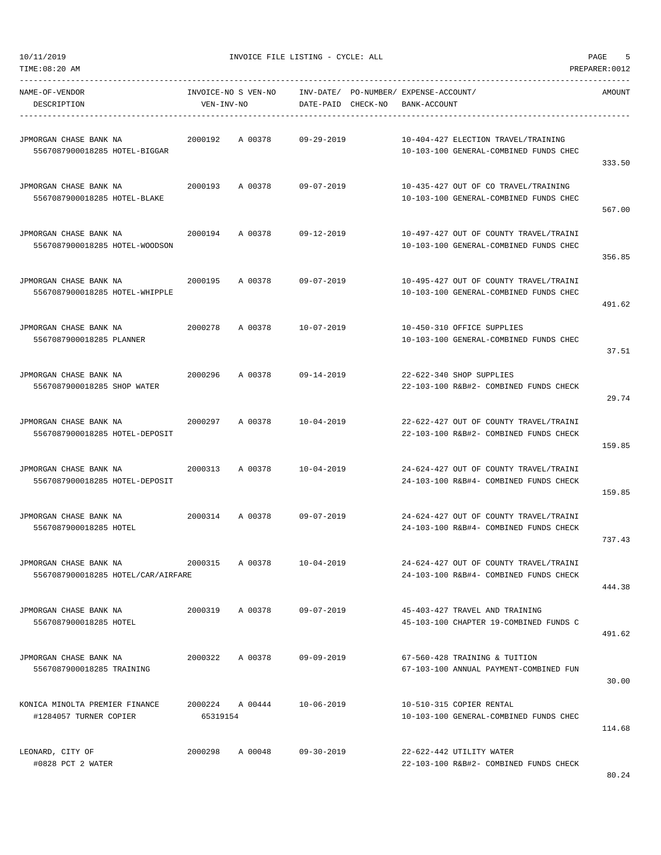| NAME-OF-VENDOR<br>DESCRIPTION                                | VEN-INV-NO      | INVOICE-NO S VEN-NO INV-DATE/ PO-NUMBER/ EXPENSE-ACCOUNT/ | DATE-PAID CHECK-NO BANK-ACCOUNT |  |                                                                                  | AMOUNT |
|--------------------------------------------------------------|-----------------|-----------------------------------------------------------|---------------------------------|--|----------------------------------------------------------------------------------|--------|
| JPMORGAN CHASE BANK NA<br>5567087900018285 HOTEL-BIGGAR      |                 | 2000192 A 00378 09-29-2019                                |                                 |  | 10-404-427 ELECTION TRAVEL/TRAINING<br>10-103-100 GENERAL-COMBINED FUNDS CHEC    | 333.50 |
| JPMORGAN CHASE BANK NA<br>5567087900018285 HOTEL-BLAKE       |                 | 2000193 A 00378                                           | 09-07-2019                      |  | 10-435-427 OUT OF CO TRAVEL/TRAINING<br>10-103-100 GENERAL-COMBINED FUNDS CHEC   | 567.00 |
| JPMORGAN CHASE BANK NA<br>5567087900018285 HOTEL-WOODSON     | 2000194         | A 00378                                                   | $09 - 12 - 2019$                |  | 10-497-427 OUT OF COUNTY TRAVEL/TRAINI<br>10-103-100 GENERAL-COMBINED FUNDS CHEC | 356.85 |
| JPMORGAN CHASE BANK NA<br>5567087900018285 HOTEL-WHIPPLE     |                 | 2000195 A 00378 09-07-2019                                |                                 |  | 10-495-427 OUT OF COUNTY TRAVEL/TRAINI<br>10-103-100 GENERAL-COMBINED FUNDS CHEC | 491.62 |
| JPMORGAN CHASE BANK NA<br>5567087900018285 PLANNER           |                 | 2000278 A 00378 10-07-2019                                |                                 |  | 10-450-310 OFFICE SUPPLIES<br>10-103-100 GENERAL-COMBINED FUNDS CHEC             | 37.51  |
| JPMORGAN CHASE BANK NA<br>5567087900018285 SHOP WATER        |                 | 2000296 A 00378 09-14-2019                                |                                 |  | 22-622-340 SHOP SUPPLIES<br>22-103-100 R&B#2- COMBINED FUNDS CHECK               | 29.74  |
| JPMORGAN CHASE BANK NA<br>5567087900018285 HOTEL-DEPOSIT     |                 | 2000297 A 00378 10-04-2019                                |                                 |  | 22-622-427 OUT OF COUNTY TRAVEL/TRAINI<br>22-103-100 R&B#2- COMBINED FUNDS CHECK | 159.85 |
| JPMORGAN CHASE BANK NA<br>5567087900018285 HOTEL-DEPOSIT     | 2000313         | A 00378 10-04-2019                                        |                                 |  | 24-624-427 OUT OF COUNTY TRAVEL/TRAINI<br>24-103-100 R&B#4- COMBINED FUNDS CHECK | 159.85 |
| JPMORGAN CHASE BANK NA<br>5567087900018285 HOTEL             |                 | 2000314 A 00378 09-07-2019                                |                                 |  | 24-624-427 OUT OF COUNTY TRAVEL/TRAINI<br>24-103-100 R&B#4- COMBINED FUNDS CHECK | 737.43 |
| JPMORGAN CHASE BANK NA<br>5567087900018285 HOTEL/CAR/AIRFARE | 2000315 A 00378 |                                                           | 10-04-2019                      |  | 24-624-427 OUT OF COUNTY TRAVEL/TRAINI<br>24-103-100 R&B#4- COMBINED FUNDS CHECK | 444.38 |
| JPMORGAN CHASE BANK NA<br>5567087900018285 HOTEL             | 2000319         | A 00378 09-07-2019                                        |                                 |  | 45-403-427 TRAVEL AND TRAINING<br>45-103-100 CHAPTER 19-COMBINED FUNDS C         | 491.62 |
| JPMORGAN CHASE BANK NA<br>5567087900018285 TRAINING          | 2000322         | A 00378                                                   | $09 - 09 - 2019$                |  | 67-560-428 TRAINING & TUITION<br>67-103-100 ANNUAL PAYMENT-COMBINED FUN          | 30.00  |
| KONICA MINOLTA PREMIER FINANCE<br>#1284057 TURNER COPIER     | 65319154        | 2000224 A 00444                                           | $10 - 06 - 2019$                |  | 10-510-315 COPIER RENTAL<br>10-103-100 GENERAL-COMBINED FUNDS CHEC               | 114.68 |
| LEONARD, CITY OF<br>#0828 PCT 2 WATER                        | 2000298         | A 00048                                                   | 09-30-2019                      |  | 22-622-442 UTILITY WATER<br>22-103-100 R&B#2- COMBINED FUNDS CHECK               |        |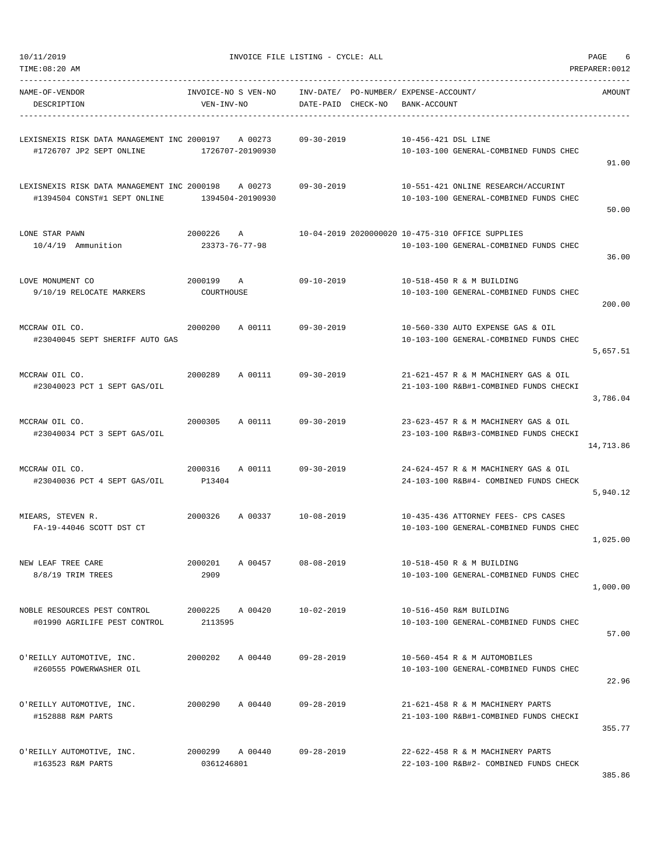|  | 0/11/2019 |  |  |
|--|-----------|--|--|
|  |           |  |  |

| TIME:08:20 AM                                                               |                                   |                             |                        |          |                                                                                            | PREPARER: 0012 |
|-----------------------------------------------------------------------------|-----------------------------------|-----------------------------|------------------------|----------|--------------------------------------------------------------------------------------------|----------------|
| NAME-OF-VENDOR<br>DESCRIPTION                                               | INVOICE-NO S VEN-NO<br>VEN-INV-NO |                             | INV-DATE/<br>DATE-PAID | CHECK-NO | PO-NUMBER/ EXPENSE-ACCOUNT/<br>BANK-ACCOUNT                                                | AMOUNT         |
| LEXISNEXIS RISK DATA MANAGEMENT INC 2000197<br>#1726707 JP2 SEPT ONLINE     | 1726707-20190930                  | A 00273                     | $09 - 30 - 2019$       |          | 10-456-421 DSL LINE<br>10-103-100 GENERAL-COMBINED FUNDS CHEC                              | 91.00          |
| LEXISNEXIS RISK DATA MANAGEMENT INC 2000198<br>#1394504 CONST#1 SEPT ONLINE |                                   | A 00273<br>1394504-20190930 | 09-30-2019             |          | 10-551-421 ONLINE RESEARCH/ACCURINT<br>10-103-100 GENERAL-COMBINED FUNDS CHEC              | 50.00          |
| LONE STAR PAWN<br>10/4/19 Ammunition                                        | 2000226<br>23373-76-77-98         | Α                           |                        |          | 10-04-2019 2020000020 10-475-310 OFFICE SUPPLIES<br>10-103-100 GENERAL-COMBINED FUNDS CHEC | 36.00          |
| LOVE MONUMENT CO<br>9/10/19 RELOCATE MARKERS                                | 2000199<br>COURTHOUSE             | Α                           | $09 - 10 - 2019$       |          | 10-518-450 R & M BUILDING<br>10-103-100 GENERAL-COMBINED FUNDS CHEC                        | 200.00         |
| MCCRAW OIL CO.<br>#23040045 SEPT SHERIFF AUTO GAS                           | 2000200                           | A 00111                     | $09 - 30 - 2019$       |          | 10-560-330 AUTO EXPENSE GAS & OIL<br>10-103-100 GENERAL-COMBINED FUNDS CHEC                | 5,657.51       |
| MCCRAW OIL CO.<br>#23040023 PCT 1 SEPT GAS/OIL                              | 2000289                           | A 00111                     | $09 - 30 - 2019$       |          | 21-621-457 R & M MACHINERY GAS & OIL<br>21-103-100 R&B#1-COMBINED FUNDS CHECKI             | 3,786.04       |
| MCCRAW OIL CO.<br>#23040034 PCT 3 SEPT GAS/OIL                              | 2000305                           | A 00111                     | $09 - 30 - 2019$       |          | 23-623-457 R & M MACHINERY GAS & OIL<br>23-103-100 R&B#3-COMBINED FUNDS CHECKI             | 14,713.86      |
| MCCRAW OIL CO.<br>#23040036 PCT 4 SEPT GAS/OIL                              | 2000316<br>P13404                 | A 00111                     | $09 - 30 - 2019$       |          | 24-624-457 R & M MACHINERY GAS & OIL<br>24-103-100 R&B#4- COMBINED FUNDS CHECK             | 5,940.12       |
| MIEARS, STEVEN R.<br>FA-19-44046 SCOTT DST CT                               | 2000326                           | A 00337                     | $10 - 08 - 2019$       |          | 10-435-436 ATTORNEY FEES- CPS CASES<br>10-103-100 GENERAL-COMBINED FUNDS CHEC              | 1,025.00       |
| NEW LEAF TREE CARE<br>8/8/19 TRIM TREES                                     | 2000201<br>2909                   | A 00457                     | $08 - 08 - 2019$       |          | 10-518-450 R & M BUILDING<br>10-103-100 GENERAL-COMBINED FUNDS CHEC                        | 1,000.00       |
| NOBLE RESOURCES PEST CONTROL<br>#01990 AGRILIFE PEST CONTROL                | 2000225<br>2113595                | A 00420                     | $10 - 02 - 2019$       |          | 10-516-450 R&M BUILDING<br>10-103-100 GENERAL-COMBINED FUNDS CHEC                          | 57.00          |
| O'REILLY AUTOMOTIVE, INC.<br>#260555 POWERWASHER OIL                        | 2000202                           | A 00440                     | $09 - 28 - 2019$       |          | 10-560-454 R & M AUTOMOBILES<br>10-103-100 GENERAL-COMBINED FUNDS CHEC                     | 22.96          |
| O'REILLY AUTOMOTIVE, INC.<br>#152888 R&M PARTS                              | 2000290                           | A 00440                     | $09 - 28 - 2019$       |          | 21-621-458 R & M MACHINERY PARTS<br>21-103-100 R&B#1-COMBINED FUNDS CHECKI                 | 355.77         |
| O'REILLY AUTOMOTIVE, INC.<br>#163523 R&M PARTS                              | 2000299<br>0361246801             | A 00440                     | $09 - 28 - 2019$       |          | 22-622-458 R & M MACHINERY PARTS<br>22-103-100 R&B#2- COMBINED FUNDS CHECK                 |                |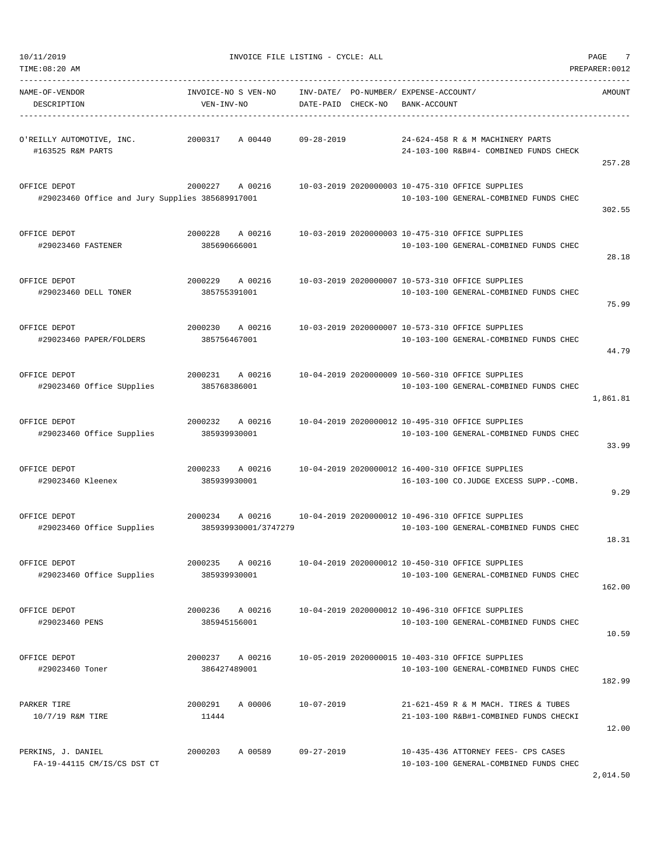| 10/11/2019                                                      |                                            | INVOICE FILE LISTING - CYCLE: ALL  |                                                                                            | 7<br>PAGE      |
|-----------------------------------------------------------------|--------------------------------------------|------------------------------------|--------------------------------------------------------------------------------------------|----------------|
| TIME:08:20 AM                                                   |                                            |                                    |                                                                                            | PREPARER: 0012 |
| NAME-OF-VENDOR<br>DESCRIPTION                                   | INVOICE-NO S VEN-NO<br>VEN-INV-NO          | INV-DATE/<br>CHECK-NO<br>DATE-PAID | PO-NUMBER/ EXPENSE-ACCOUNT/<br>BANK-ACCOUNT                                                | AMOUNT         |
| O'REILLY AUTOMOTIVE, INC.<br>#163525 R&M PARTS                  | 2000317<br>A 00440                         | $09 - 28 - 2019$                   | 24-624-458 R & M MACHINERY PARTS<br>24-103-100 R&B#4- COMBINED FUNDS CHECK                 | 257.28         |
| OFFICE DEPOT<br>#29023460 Office and Jury Supplies 385689917001 | 2000227<br>A 00216                         |                                    | 10-03-2019 2020000003 10-475-310 OFFICE SUPPLIES<br>10-103-100 GENERAL-COMBINED FUNDS CHEC | 302.55         |
| OFFICE DEPOT<br>#29023460 FASTENER                              | 2000228<br>A 00216<br>385690666001         |                                    | 10-03-2019 2020000003 10-475-310 OFFICE SUPPLIES<br>10-103-100 GENERAL-COMBINED FUNDS CHEC | 28.18          |
| OFFICE DEPOT<br>#29023460 DELL TONER                            | A 00216<br>2000229<br>385755391001         |                                    | 10-03-2019 2020000007 10-573-310 OFFICE SUPPLIES<br>10-103-100 GENERAL-COMBINED FUNDS CHEC | 75.99          |
| OFFICE DEPOT<br>#29023460 PAPER/FOLDERS                         | 2000230<br>A 00216<br>385756467001         |                                    | 10-03-2019 2020000007 10-573-310 OFFICE SUPPLIES<br>10-103-100 GENERAL-COMBINED FUNDS CHEC | 44.79          |
| OFFICE DEPOT<br>#29023460 Office SUpplies                       | 2000231<br>A 00216<br>385768386001         |                                    | 10-04-2019 2020000009 10-560-310 OFFICE SUPPLIES<br>10-103-100 GENERAL-COMBINED FUNDS CHEC | 1,861.81       |
| OFFICE DEPOT<br>#29023460 Office Supplies                       | 2000232<br>A 00216<br>385939930001         |                                    | 10-04-2019 2020000012 10-495-310 OFFICE SUPPLIES<br>10-103-100 GENERAL-COMBINED FUNDS CHEC | 33.99          |
| OFFICE DEPOT<br>#29023460 Kleenex                               | 2000233<br>A 00216<br>385939930001         |                                    | 10-04-2019 2020000012 16-400-310 OFFICE SUPPLIES<br>16-103-100 CO.JUDGE EXCESS SUPP.-COMB. | 9.29           |
| OFFICE DEPOT<br>#29023460 Office Supplies                       | 2000234<br>A 00216<br>385939930001/3747279 |                                    | 10-04-2019 2020000012 10-496-310 OFFICE SUPPLIES<br>10-103-100 GENERAL-COMBINED FUNDS CHEC | 18.31          |
| OFFICE DEPOT<br>#29023460 Office Supplies                       | 2000235<br>A 00216<br>385939930001         |                                    | 10-04-2019 2020000012 10-450-310 OFFICE SUPPLIES<br>10-103-100 GENERAL-COMBINED FUNDS CHEC | 162.00         |
| OFFICE DEPOT<br>#29023460 PENS                                  | A 00216<br>2000236<br>385945156001         |                                    | 10-04-2019 2020000012 10-496-310 OFFICE SUPPLIES<br>10-103-100 GENERAL-COMBINED FUNDS CHEC | 10.59          |
| OFFICE DEPOT<br>#29023460 Toner                                 | 2000237 A 00216<br>386427489001            |                                    | 10-05-2019 2020000015 10-403-310 OFFICE SUPPLIES<br>10-103-100 GENERAL-COMBINED FUNDS CHEC | 182.99         |
| PARKER TIRE<br>10/7/19 R&M TIRE                                 | A 00006<br>2000291<br>11444                | 10-07-2019                         | 21-621-459 R & M MACH. TIRES & TUBES<br>21-103-100 R&B#1-COMBINED FUNDS CHECKI             | 12.00          |
| PERKINS, J. DANIEL<br>FA-19-44115 CM/IS/CS DST CT               | 2000203<br>A 00589                         | $09 - 27 - 2019$                   | 10-435-436 ATTORNEY FEES- CPS CASES<br>10-103-100 GENERAL-COMBINED FUNDS CHEC              |                |

2,014.50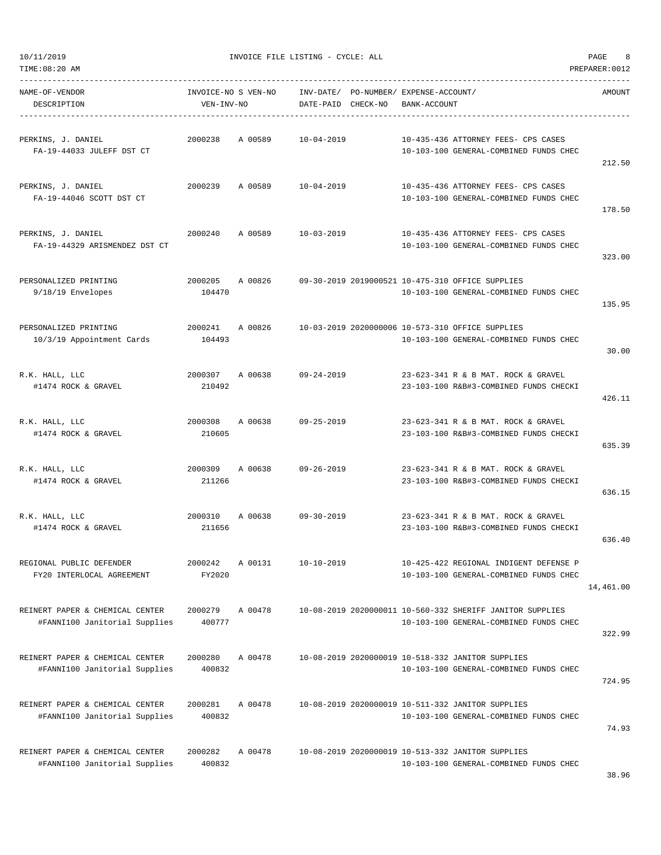TIME:08:20 AM PREPARER:0012 -----------------------------------------------------------------------------------------------------------------------------------

| NAME-OF-VENDOR<br>DESCRIPTION                                    | INVOICE-NO S VEN-NO<br>VEN-INV-NO |         | DATE-PAID        | CHECK-NO | INV-DATE/ PO-NUMBER/ EXPENSE-ACCOUNT/<br>BANK-ACCOUNT                                               | AMOUNT    |
|------------------------------------------------------------------|-----------------------------------|---------|------------------|----------|-----------------------------------------------------------------------------------------------------|-----------|
| PERKINS, J. DANIEL<br>FA-19-44033 JULEFF DST CT                  | 2000238                           | A 00589 | $10 - 04 - 2019$ |          | 10-435-436 ATTORNEY FEES- CPS CASES<br>10-103-100 GENERAL-COMBINED FUNDS CHEC                       | 212.50    |
| PERKINS, J. DANIEL<br>FA-19-44046 SCOTT DST CT                   | 2000239                           | A 00589 | $10 - 04 - 2019$ |          | 10-435-436 ATTORNEY FEES- CPS CASES<br>10-103-100 GENERAL-COMBINED FUNDS CHEC                       | 178.50    |
| PERKINS, J. DANIEL<br>FA-19-44329 ARISMENDEZ DST CT              | 2000240                           | A 00589 | $10 - 03 - 2019$ |          | 10-435-436 ATTORNEY FEES- CPS CASES<br>10-103-100 GENERAL-COMBINED FUNDS CHEC                       | 323.00    |
| PERSONALIZED PRINTING<br>9/18/19 Envelopes                       | 2000205<br>104470                 | A 00826 |                  |          | 09-30-2019 2019000521 10-475-310 OFFICE SUPPLIES<br>10-103-100 GENERAL-COMBINED FUNDS CHEC          | 135.95    |
| PERSONALIZED PRINTING<br>10/3/19 Appointment Cards               | 2000241<br>104493                 | A 00826 |                  |          | 10-03-2019 2020000006 10-573-310 OFFICE SUPPLIES<br>10-103-100 GENERAL-COMBINED FUNDS CHEC          | 30.00     |
| R.K. HALL, LLC<br>#1474 ROCK & GRAVEL                            | 2000307<br>210492                 | A 00638 | $09 - 24 - 2019$ |          | 23-623-341 R & B MAT. ROCK & GRAVEL<br>23-103-100 R&B#3-COMBINED FUNDS CHECKI                       | 426.11    |
| R.K. HALL, LLC<br>#1474 ROCK & GRAVEL                            | 2000308<br>210605                 | A 00638 | $09 - 25 - 2019$ |          | 23-623-341 R & B MAT. ROCK & GRAVEL<br>23-103-100 R&B#3-COMBINED FUNDS CHECKI                       | 635.39    |
| R.K. HALL, LLC<br>#1474 ROCK & GRAVEL                            | 2000309<br>211266                 | A 00638 | $09 - 26 - 2019$ |          | 23-623-341 R & B MAT. ROCK & GRAVEL<br>23-103-100 R&B#3-COMBINED FUNDS CHECKI                       | 636.15    |
| R.K. HALL, LLC<br>#1474 ROCK & GRAVEL                            | 2000310<br>211656                 | A 00638 | $09 - 30 - 2019$ |          | 23-623-341 R & B MAT. ROCK & GRAVEL<br>23-103-100 R&B#3-COMBINED FUNDS CHECKI                       | 636.40    |
| REGIONAL PUBLIC DEFENDER<br>FY20 INTERLOCAL AGREEMENT            | 2000242<br>FY2020                 | A 00131 | $10 - 10 - 2019$ |          | 10-425-422 REGIONAL INDIGENT DEFENSE P<br>10-103-100 GENERAL-COMBINED FUNDS CHEC                    | 14,461.00 |
| REINERT PAPER & CHEMICAL CENTER<br>#FANNI100 Janitorial Supplies | 2000279<br>400777                 | A 00478 |                  |          | 10-08-2019 2020000011 10-560-332 SHERIFF JANITOR SUPPLIES<br>10-103-100 GENERAL-COMBINED FUNDS CHEC | 322.99    |
| REINERT PAPER & CHEMICAL CENTER<br>#FANNI100 Janitorial Supplies | 2000280<br>400832                 | A 00478 |                  |          | 10-08-2019 2020000019 10-518-332 JANITOR SUPPLIES<br>10-103-100 GENERAL-COMBINED FUNDS CHEC         | 724.95    |
| REINERT PAPER & CHEMICAL CENTER<br>#FANNI100 Janitorial Supplies | 2000281<br>400832                 | A 00478 |                  |          | 10-08-2019 2020000019 10-511-332 JANITOR SUPPLIES<br>10-103-100 GENERAL-COMBINED FUNDS CHEC         | 74.93     |

REINERT PAPER & CHEMICAL CENTER 2000282 A 00478 10-08-2019 2020000019 10-513-332 JANITOR SUPPLIES #FANNI100 Janitorial Supplies 400832 10-103-100 GENERAL-COMBINED FUNDS CHEC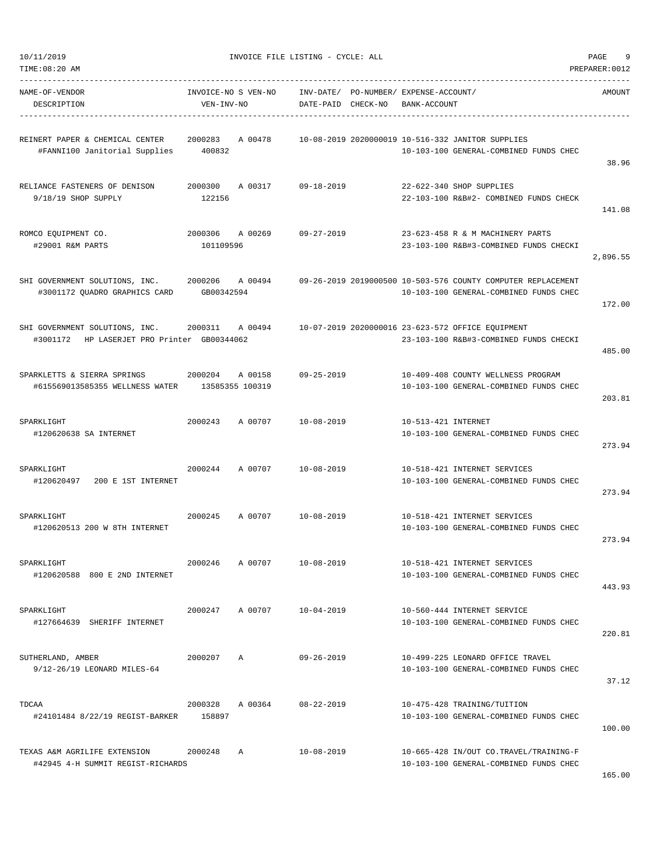| TIME:08:20 AM                                                                 |                                   |                            |                        |          |                                             |                                                                                                        | PREPARER: 0012 |
|-------------------------------------------------------------------------------|-----------------------------------|----------------------------|------------------------|----------|---------------------------------------------|--------------------------------------------------------------------------------------------------------|----------------|
| NAME-OF-VENDOR<br>DESCRIPTION                                                 | INVOICE-NO S VEN-NO<br>VEN-INV-NO |                            | INV-DATE/<br>DATE-PAID | CHECK-NO | PO-NUMBER/ EXPENSE-ACCOUNT/<br>BANK-ACCOUNT |                                                                                                        | AMOUNT         |
| REINERT PAPER & CHEMICAL CENTER<br>#FANNI100 Janitorial Supplies              | 2000283<br>400832                 | A 00478                    |                        |          |                                             | 10-08-2019 2020000019 10-516-332 JANITOR SUPPLIES<br>10-103-100 GENERAL-COMBINED FUNDS CHEC            | 38.96          |
| RELIANCE FASTENERS OF DENISON<br>9/18/19 SHOP SUPPLY                          | 2000300<br>122156                 | A 00317                    | $09 - 18 - 2019$       |          |                                             | 22-622-340 SHOP SUPPLIES<br>22-103-100 R&B#2- COMBINED FUNDS CHECK                                     | 141.08         |
| ROMCO EQUIPMENT CO.<br>#29001 R&M PARTS                                       | 2000306<br>101109596              | A 00269                    | $09 - 27 - 2019$       |          |                                             | 23-623-458 R & M MACHINERY PARTS<br>23-103-100 R&B#3-COMBINED FUNDS CHECKI                             | 2,896.55       |
| SHI GOVERNMENT SOLUTIONS, INC.<br>#3001172 QUADRO GRAPHICS CARD               | 2000206<br>GB00342594             | A 00494                    |                        |          |                                             | 09-26-2019 2019000500 10-503-576 COUNTY COMPUTER REPLACEMENT<br>10-103-100 GENERAL-COMBINED FUNDS CHEC | 172.00         |
| SHI GOVERNMENT SOLUTIONS, INC.<br>#3001172 HP LASERJET PRO Printer GB00344062 | 2000311                           | A 00494                    |                        |          |                                             | 10-07-2019 2020000016 23-623-572 OFFICE EQUIPMENT<br>23-103-100 R&B#3-COMBINED FUNDS CHECKI            | 485.00         |
| SPARKLETTS & SIERRA SPRINGS<br>#615569013585355 WELLNESS WATER                | 2000204                           | A 00158<br>13585355 100319 | $09 - 25 - 2019$       |          |                                             | 10-409-408 COUNTY WELLNESS PROGRAM<br>10-103-100 GENERAL-COMBINED FUNDS CHEC                           | 203.81         |
| SPARKLIGHT<br>#120620638 SA INTERNET                                          | 2000243                           | A 00707                    | $10 - 08 - 2019$       |          | 10-513-421 INTERNET                         | 10-103-100 GENERAL-COMBINED FUNDS CHEC                                                                 | 273.94         |
| SPARKLIGHT<br>#120620497 200 E 1ST INTERNET                                   | 2000244                           | A 00707                    | $10 - 08 - 2019$       |          |                                             | 10-518-421 INTERNET SERVICES<br>10-103-100 GENERAL-COMBINED FUNDS CHEC                                 | 273.94         |
| SPARKLIGHT<br>#120620513 200 W 8TH INTERNET                                   | 2000245                           | A 00707                    | $10 - 08 - 2019$       |          |                                             | 10-518-421 INTERNET SERVICES<br>10-103-100 GENERAL-COMBINED FUNDS CHEC                                 | 273.94         |
| SPARKLIGHT<br>#120620588 800 E 2ND INTERNET                                   | 2000246                           | A 00707                    | $10 - 08 - 2019$       |          |                                             | 10-518-421 INTERNET SERVICES<br>10-103-100 GENERAL-COMBINED FUNDS CHEC                                 | 443.93         |
| SPARKLIGHT<br>#127664639 SHERIFF INTERNET                                     | 2000247                           | A 00707                    | $10 - 04 - 2019$       |          |                                             | 10-560-444 INTERNET SERVICE<br>10-103-100 GENERAL-COMBINED FUNDS CHEC                                  | 220.81         |
| SUTHERLAND, AMBER<br>9/12-26/19 LEONARD MILES-64                              | 2000207                           | A                          | $09 - 26 - 2019$       |          |                                             | 10-499-225 LEONARD OFFICE TRAVEL<br>10-103-100 GENERAL-COMBINED FUNDS CHEC                             | 37.12          |
| TDCAA<br>#24101484 8/22/19 REGIST-BARKER 158897                               | 2000328                           | A 00364                    | $08 - 22 - 2019$       |          |                                             | 10-475-428 TRAINING/TUITION<br>10-103-100 GENERAL-COMBINED FUNDS CHEC                                  | 100.00         |
| TEXAS A&M AGRILIFE EXTENSION<br>#42945 4-H SUMMIT REGIST-RICHARDS             | 2000248                           | Α                          | $10 - 08 - 2019$       |          |                                             | 10-665-428 IN/OUT CO.TRAVEL/TRAINING-F<br>10-103-100 GENERAL-COMBINED FUNDS CHEC                       | 165.00         |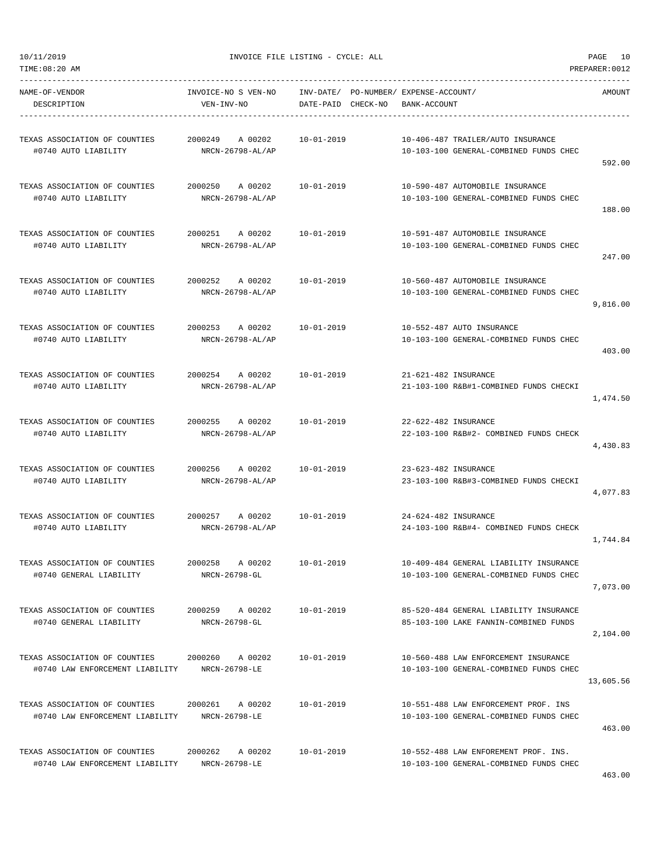-----------------------------------------------------------------------------------------------------------------------------------

TIME:08:20 AM PREPARER:0012

NAME-OF-VENDOR INVOICE-NO S VEN-NO INV-DATE/ PO-NUMBER/ EXPENSE-ACCOUNT/ AMOUNT DESCRIPTION VEN-INV-NO DATE-PAID CHECK-NO BANK-ACCOUNT ----------------------------------------------------------------------------------------------------------------------------------- TEXAS ASSOCIATION OF COUNTIES 2000249 A 00202 10-01-2019 10-406-487 TRAILER/AUTO INSURANCE #0740 AUTO LIABILITY NRCN-26798-AL/AP 10-103-100 GENERAL-COMBINED FUNDS CHEC 592.00 TEXAS ASSOCIATION OF COUNTIES 2000250 A 00202 10-01-2019 10-590-487 AUTOMOBILE INSURANCE #0740 AUTO LIABILITY NRCN-26798-AL/AP 10-103-100 GENERAL-COMBINED FUNDS CHEC 188.00 TEXAS ASSOCIATION OF COUNTIES 2000251 A 00202 10-01-2019 10-591-487 AUTOMOBILE INSURANCE #0740 AUTO LIABILITY NRCN-26798-AL/AP 10-103-100 GENERAL-COMBINED FUNDS CHEC 247.00 TEXAS ASSOCIATION OF COUNTIES 2000252 A 00202 10-01-2019 10-560-487 AUTOMOBILE INSURANCE #0740 AUTO LIABILITY NRCN-26798-AL/AP 10-103-100 GENERAL-COMBINED FUNDS CHEC 9,816.00 TEXAS ASSOCIATION OF COUNTIES 2000253 A 00202 10-01-2019 10-552-487 AUTO INSURANCE #0740 AUTO LIABILITY NRCN-26798-AL/AP 10-103-100 GENERAL-COMBINED FUNDS CHEC 403.00 TEXAS ASSOCIATION OF COUNTIES 2000254 A 00202 10-01-2019 21-621-482 INSURANCE #0740 AUTO LIABILITY NRCN-26798-AL/AP 21-103-100 R&B#1-COMBINED FUNDS CHECKI 1,474.50 TEXAS ASSOCIATION OF COUNTIES 2000255 A 00202 10-01-2019 22-622-482 INSURANCE #0740 AUTO LIABILITY NRCN-26798-AL/AP 22-103-100 R&B#2- COMBINED FUNDS CHECK 4,430.83 TEXAS ASSOCIATION OF COUNTIES 2000256 A 00202 10-01-2019 23-623-482 INSURANCE #0740 AUTO LIABILITY NRCN-26798-AL/AP 23-103-100 R&B#3-COMBINED FUNDS CHECKI 4,077.83 TEXAS ASSOCIATION OF COUNTIES 2000257 A 00202 10-01-2019 24-624-482 INSURANCE #0740 AUTO LIABILITY NRCN-26798-AL/AP 24-103-100 R&B#4- COMBINED FUNDS CHECK 1,744.84 TEXAS ASSOCIATION OF COUNTIES 2000258 A 00202 10-01-2019 10-409-484 GENERAL LIABILITY INSURANCE #0740 GENERAL LIABILITY NRCN-26798-GL 10-103-100 GENERAL-COMBINED FUNDS CHEC 7,073.00 TEXAS ASSOCIATION OF COUNTIES 2000259 A 00202 10-01-2019 85-520-484 GENERAL LIABILITY INSURANCE #0740 GENERAL LIABILITY NRCN-26798-GL 85-103-100 LAKE FANNIN-COMBINED FUNDS 2,104.00 TEXAS ASSOCIATION OF COUNTIES 2000260 A 00202 10-01-2019 10-560-488 LAW ENFORCEMENT INSURANCE #0740 LAW ENFORCEMENT LIABILITY NRCN-26798-LE 10-103-100 GENERAL-COMBINED FUNDS CHEC 13,605.56 TEXAS ASSOCIATION OF COUNTIES 2000261 A 00202 10-01-2019 10-551-488 LAW ENFORCEMENT PROF. INS #0740 LAW ENFORCEMENT LIABILITY NRCN-26798-LE 10-103-100 GENERAL-COMBINED FUNDS CHEC 463.00 TEXAS ASSOCIATION OF COUNTIES 2000262 A 00202 10-01-2019 10-552-488 LAW ENFOREMENT PROF. INS. #0740 LAW ENFORCEMENT LIABILITY NRCN-26798-LE 10-103-100 GENERAL-COMBINED FUNDS CHEC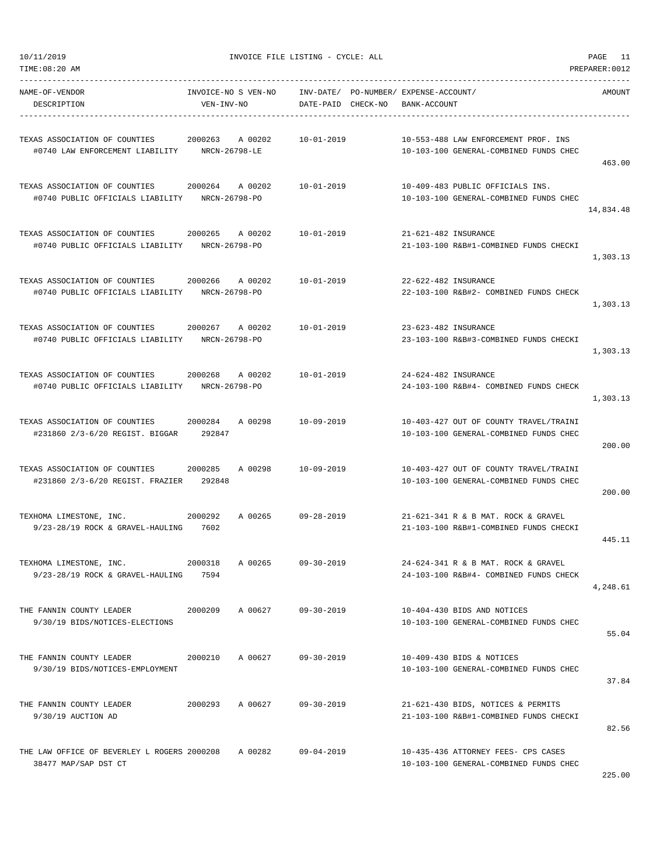| NAME-OF-VENDOR<br>DESCRIPTION                                                   | INVOICE-NO S VEN-NO<br>VEN-INV-NO   | INV-DATE/ PO-NUMBER/ EXPENSE-ACCOUNT/<br>DATE-PAID CHECK-NO | BANK-ACCOUNT                                                                     | AMOUNT    |
|---------------------------------------------------------------------------------|-------------------------------------|-------------------------------------------------------------|----------------------------------------------------------------------------------|-----------|
| TEXAS ASSOCIATION OF COUNTIES<br>#0740 LAW ENFORCEMENT LIABILITY                | 2000263<br>A 00202<br>NRCN-26798-LE | $10 - 01 - 2019$                                            | 10-553-488 LAW ENFORCEMENT PROF. INS<br>10-103-100 GENERAL-COMBINED FUNDS CHEC   | 463.00    |
| TEXAS ASSOCIATION OF COUNTIES<br>#0740 PUBLIC OFFICIALS LIABILITY               | 2000264<br>A 00202<br>NRCN-26798-PO | $10 - 01 - 2019$                                            | 10-409-483 PUBLIC OFFICIALS INS.<br>10-103-100 GENERAL-COMBINED FUNDS CHEC       | 14,834.48 |
| TEXAS ASSOCIATION OF COUNTIES<br>#0740 PUBLIC OFFICIALS LIABILITY NRCN-26798-PO | 2000265<br>A 00202                  | 10-01-2019                                                  | 21-621-482 INSURANCE<br>21-103-100 R&B#1-COMBINED FUNDS CHECKI                   | 1,303.13  |
| TEXAS ASSOCIATION OF COUNTIES<br>#0740 PUBLIC OFFICIALS LIABILITY               | 2000266<br>A 00202<br>NRCN-26798-PO | $10 - 01 - 2019$                                            | 22-622-482 INSURANCE<br>22-103-100 R&B#2- COMBINED FUNDS CHECK                   | 1,303.13  |
| TEXAS ASSOCIATION OF COUNTIES<br>#0740 PUBLIC OFFICIALS LIABILITY               | 2000267<br>A 00202<br>NRCN-26798-PO | 10-01-2019                                                  | 23-623-482 INSURANCE<br>23-103-100 R&B#3-COMBINED FUNDS CHECKI                   | 1,303.13  |
| TEXAS ASSOCIATION OF COUNTIES<br>#0740 PUBLIC OFFICIALS LIABILITY NRCN-26798-PO | 2000268<br>A 00202                  | $10 - 01 - 2019$                                            | 24-624-482 INSURANCE<br>24-103-100 R&B#4- COMBINED FUNDS CHECK                   | 1,303.13  |
| TEXAS ASSOCIATION OF COUNTIES<br>#231860 2/3-6/20 REGIST. BIGGAR                | 2000284<br>A 00298<br>292847        | $10 - 09 - 2019$                                            | 10-403-427 OUT OF COUNTY TRAVEL/TRAINI<br>10-103-100 GENERAL-COMBINED FUNDS CHEC | 200.00    |
| TEXAS ASSOCIATION OF COUNTIES<br>#231860 2/3-6/20 REGIST. FRAZIER               | 2000285<br>A 00298<br>292848        | $10 - 09 - 2019$                                            | 10-403-427 OUT OF COUNTY TRAVEL/TRAINI<br>10-103-100 GENERAL-COMBINED FUNDS CHEC | 200.00    |
| TEXHOMA LIMESTONE, INC.<br>9/23-28/19 ROCK & GRAVEL-HAULING 7602                | 2000292<br>A 00265                  | 09-28-2019                                                  | 21-621-341 R & B MAT. ROCK & GRAVEL<br>21-103-100 R&B#1-COMBINED FUNDS CHECKI    | 445.11    |
| TEXHOMA LIMESTONE, INC.<br>9/23-28/19 ROCK & GRAVEL-HAULING                     | 2000318<br>A 00265<br>7594          | $09 - 30 - 2019$                                            | 24-624-341 R & B MAT. ROCK & GRAVEL<br>24-103-100 R&B#4- COMBINED FUNDS CHECK    | 4,248.61  |
| THE FANNIN COUNTY LEADER<br>9/30/19 BIDS/NOTICES-ELECTIONS                      | 2000209<br>A 00627 09-30-2019       |                                                             | 10-404-430 BIDS AND NOTICES<br>10-103-100 GENERAL-COMBINED FUNDS CHEC            | 55.04     |
| THE FANNIN COUNTY LEADER<br>9/30/19 BIDS/NOTICES-EMPLOYMENT                     | A 00627<br>2000210                  | $09 - 30 - 2019$                                            | 10-409-430 BIDS & NOTICES<br>10-103-100 GENERAL-COMBINED FUNDS CHEC              | 37.84     |
| THE FANNIN COUNTY LEADER<br>9/30/19 AUCTION AD                                  | 2000293<br>A 00627                  | 09-30-2019                                                  | 21-621-430 BIDS, NOTICES & PERMITS<br>21-103-100 R&B#1-COMBINED FUNDS CHECKI     | 82.56     |
| THE LAW OFFICE OF BEVERLEY L ROGERS 2000208<br>38477 MAP/SAP DST CT             | A 00282                             | 09-04-2019                                                  | 10-435-436 ATTORNEY FEES- CPS CASES<br>10-103-100 GENERAL-COMBINED FUNDS CHEC    | 225.00    |

TIME:08:20 AM PREPARER:0012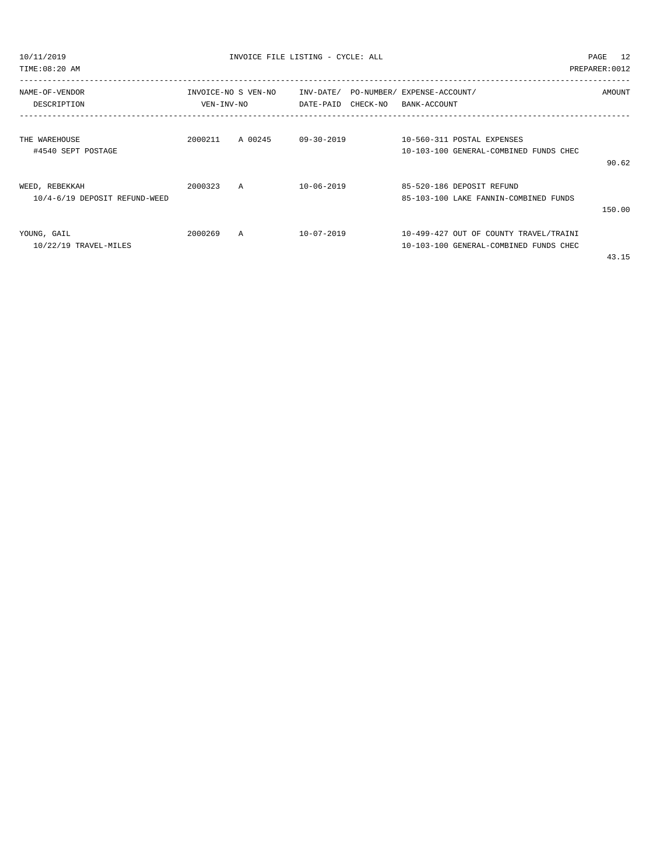TIME:08:20 AM PREPARER:0012

| NAME-OF-VENDOR<br>DESCRIPTION | INVOICE-NO S VEN-NO<br>VEN-INV-NO |         | INV-DATE/ PO-NUMBER/ EXPENSE-ACCOUNT/<br>DATE-PAID<br>CHECK-NO |  | BANK-ACCOUNT | <b>AMOUNT</b>                          |                                       |
|-------------------------------|-----------------------------------|---------|----------------------------------------------------------------|--|--------------|----------------------------------------|---------------------------------------|
|                               |                                   |         |                                                                |  |              |                                        |                                       |
| THE WAREHOUSE                 | 2000211                           | A 00245 | $09 - 30 - 2019$                                               |  |              | 10-560-311 POSTAL EXPENSES             |                                       |
| #4540 SEPT POSTAGE            |                                   |         |                                                                |  |              | 10-103-100 GENERAL-COMBINED FUNDS CHEC |                                       |
|                               |                                   |         |                                                                |  |              |                                        | 90.62                                 |
| WEED, REBEKKAH                | 2000323                           | A       | $10 - 06 - 2019$                                               |  |              | 85-520-186 DEPOSIT REFUND              |                                       |
| 10/4-6/19 DEPOSIT REFUND-WEED |                                   |         |                                                                |  |              | 85-103-100 LAKE FANNIN-COMBINED FUNDS  |                                       |
|                               |                                   |         |                                                                |  |              |                                        | 150.00                                |
| YOUNG, GAIL                   | 2000269                           | A       | $10 - 07 - 2019$                                               |  |              | 10-499-427 OUT OF COUNTY TRAVEL/TRAINI |                                       |
| 10/22/19 TRAVEL-MILES         |                                   |         |                                                                |  |              | 10-103-100 GENERAL-COMBINED FUNDS CHEC |                                       |
|                               |                                   |         |                                                                |  |              |                                        | $\Lambda$ $\Omega$ $\Lambda$ $\Gamma$ |